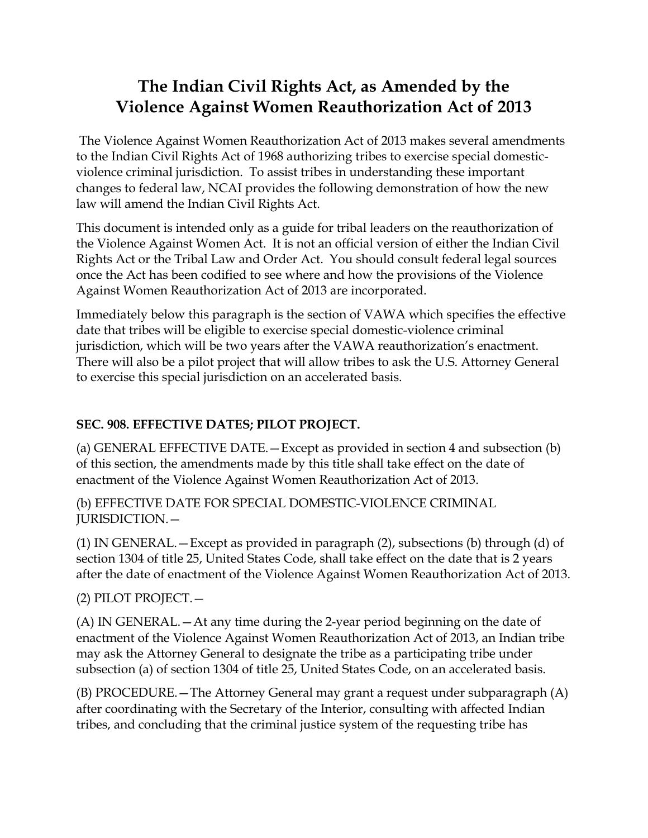# **The Indian Civil Rights Act, as Amended by the Violence Against Women Reauthorization Act of 2013**

The Violence Against Women Reauthorization Act of 2013 makes several amendments to the Indian Civil Rights Act of 1968 authorizing tribes to exercise special domesticviolence criminal jurisdiction. To assist tribes in understanding these important changes to federal law, NCAI provides the following demonstration of how the new law will amend the Indian Civil Rights Act.

This document is intended only as a guide for tribal leaders on the reauthorization of the Violence Against Women Act. It is not an official version of either the Indian Civil Rights Act or the Tribal Law and Order Act. You should consult federal legal sources once the Act has been codified to see where and how the provisions of the Violence Against Women Reauthorization Act of 2013 are incorporated.

Immediately below this paragraph is the section of VAWA which specifies the effective date that tribes will be eligible to exercise special domestic-violence criminal jurisdiction, which will be two years after the VAWA reauthorization's enactment. There will also be a pilot project that will allow tribes to ask the U.S. Attorney General to exercise this special jurisdiction on an accelerated basis.

## **SEC. 908. EFFECTIVE DATES; PILOT PROJECT.**

(a) GENERAL EFFECTIVE DATE.—Except as provided in section 4 and subsection (b) of this section, the amendments made by this title shall take effect on the date of enactment of the Violence Against Women Reauthorization Act of 2013.

(b) EFFECTIVE DATE FOR SPECIAL DOMESTIC-VIOLENCE CRIMINAL JURISDICTION.—

(1) IN GENERAL.—Except as provided in paragraph (2), subsections (b) through (d) of section 1304 of title 25, United States Code, shall take effect on the date that is 2 years after the date of enactment of the Violence Against Women Reauthorization Act of 2013.

(2) PILOT PROJECT.—

(A) IN GENERAL.—At any time during the 2-year period beginning on the date of enactment of the Violence Against Women Reauthorization Act of 2013, an Indian tribe may ask the Attorney General to designate the tribe as a participating tribe under subsection (a) of section 1304 of title 25, United States Code, on an accelerated basis.

(B) PROCEDURE.—The Attorney General may grant a request under subparagraph (A) after coordinating with the Secretary of the Interior, consulting with affected Indian tribes, and concluding that the criminal justice system of the requesting tribe has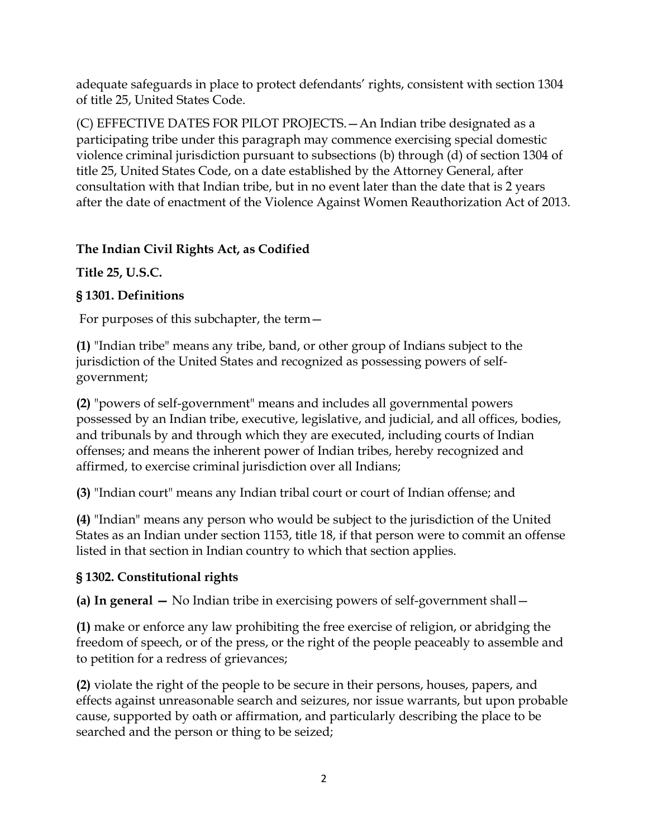adequate safeguards in place to protect defendants' rights, consistent with section 1304 of title 25, United States Code.

(C) EFFECTIVE DATES FOR PILOT PROJECTS.—An Indian tribe designated as a participating tribe under this paragraph may commence exercising special domestic violence criminal jurisdiction pursuant to subsections (b) through (d) of section 1304 of title 25, United States Code, on a date established by the Attorney General, after consultation with that Indian tribe, but in no event later than the date that is 2 years after the date of enactment of the Violence Against Women Reauthorization Act of 2013.

### **The Indian Civil Rights Act, as Codified**

**Title 25, U.S.C.** 

### **§ 1301. Definitions**

For purposes of this subchapter, the term—

**[\(1\)](http://www.bloomberglaw.com/s/legislative/845dbc2c063f9b5232da608d54dc1240/document/www.bloomberglaw.com)** "Indian tribe" means any tribe, band, or other group of Indians subject to the jurisdiction of the United States and recognized as possessing powers of selfgovernment;

**[\(2\)](http://www.bloomberglaw.com/s/legislative/845dbc2c063f9b5232da608d54dc1240/document/www.bloomberglaw.com)** "powers of self-government" means and includes all governmental powers possessed by an Indian tribe, executive, legislative, and judicial, and all offices, bodies, and tribunals by and through which they are executed, including courts of Indian offenses; and means the inherent power of Indian tribes, hereby recognized and affirmed, to exercise criminal jurisdiction over all Indians;

**[\(3\)](http://www.bloomberglaw.com/s/legislative/845dbc2c063f9b5232da608d54dc1240/document/www.bloomberglaw.com)** "Indian court" means any Indian tribal court or court of Indian offense; and

**[\(4\)](http://www.bloomberglaw.com/s/legislative/845dbc2c063f9b5232da608d54dc1240/document/www.bloomberglaw.com)** "Indian" means any person who would be subject to the jurisdiction of the United States as an Indian under section 1153, title 18, if that person were to commit an offense listed in that section in Indian country to which that section applies.

#### **§ 1302. Constitutional rights**

**(a) In general —** No Indian tribe in exercising powers of self-government shall—

**[\(1\)](http://www.bloomberglaw.com/s/legislative/b597c087f2faf6aa4c5a8e3222fabcfa/document/www.bloomberglaw.com)** make or enforce any law prohibiting the free exercise of religion, or abridging the freedom of speech, or of the press, or the right of the people peaceably to assemble and to petition for a redress of grievances;

**[\(2\)](http://www.bloomberglaw.com/s/legislative/b597c087f2faf6aa4c5a8e3222fabcfa/document/www.bloomberglaw.com)** violate the right of the people to be secure in their persons, houses, papers, and effects against unreasonable search and seizures, nor issue warrants, but upon probable cause, supported by oath or affirmation, and particularly describing the place to be searched and the person or thing to be seized;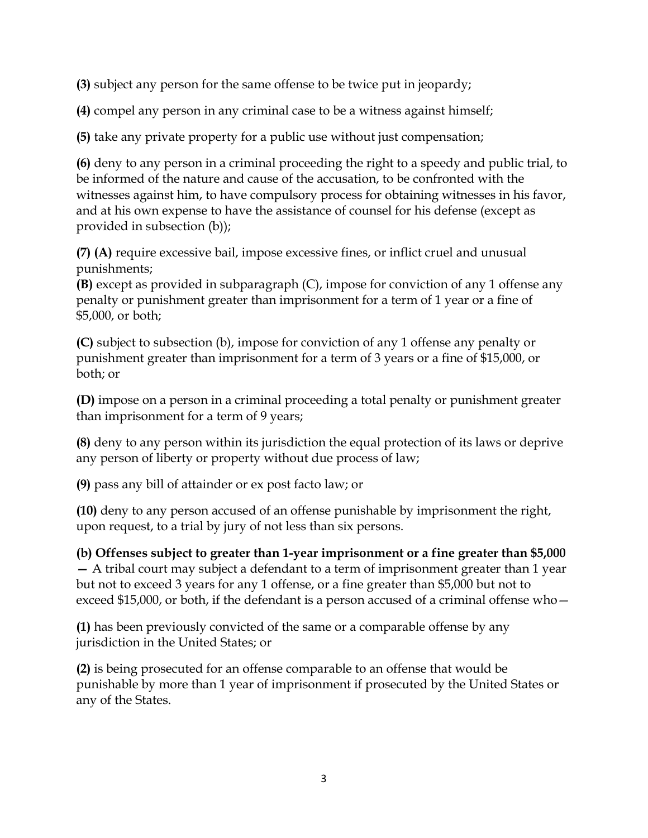**[\(3\)](http://www.bloomberglaw.com/s/legislative/b597c087f2faf6aa4c5a8e3222fabcfa/document/www.bloomberglaw.com)** subject any person for the same offense to be twice put in jeopardy;

**[\(4\)](http://www.bloomberglaw.com/s/legislative/b597c087f2faf6aa4c5a8e3222fabcfa/document/www.bloomberglaw.com)** compel any person in any criminal case to be a witness against himself;

**[\(5\)](http://www.bloomberglaw.com/s/legislative/b597c087f2faf6aa4c5a8e3222fabcfa/document/www.bloomberglaw.com)** take any private property for a public use without just compensation;

**[\(6\)](http://www.bloomberglaw.com/s/legislative/b597c087f2faf6aa4c5a8e3222fabcfa/document/www.bloomberglaw.com)** deny to any person in a criminal proceeding the right to a speedy and public trial, to be informed of the nature and cause of the accusation, to be confronted with the witnesses against him, to have compulsory process for obtaining witnesses in his favor, and at his own expense to have the assistance of counsel for his defense (except as provided in subsection (b));

**[\(7\)](http://www.bloomberglaw.com/s/legislative/b597c087f2faf6aa4c5a8e3222fabcfa/document/www.bloomberglaw.com) [\(A\)](http://www.bloomberglaw.com/s/legislative/b597c087f2faf6aa4c5a8e3222fabcfa/document/www.bloomberglaw.com)** require excessive bail, impose excessive fines, or inflict cruel and unusual punishments;

**[\(B\)](http://www.bloomberglaw.com/s/legislative/b597c087f2faf6aa4c5a8e3222fabcfa/document/www.bloomberglaw.com)** except as provided in subparagraph (C), impose for conviction of any 1 offense any penalty or punishment greater than imprisonment for a term of 1 year or a fine of \$5,000, or both;

**[\(C\)](http://www.bloomberglaw.com/s/legislative/b597c087f2faf6aa4c5a8e3222fabcfa/document/www.bloomberglaw.com)** subject to subsection (b), impose for conviction of any 1 offense any penalty or punishment greater than imprisonment for a term of 3 years or a fine of \$15,000, or both; or

**[\(D\)](http://www.bloomberglaw.com/s/legislative/b597c087f2faf6aa4c5a8e3222fabcfa/document/www.bloomberglaw.com)** impose on a person in a criminal proceeding a total penalty or punishment greater than imprisonment for a term of 9 years;

**[\(8\)](http://www.bloomberglaw.com/s/legislative/b597c087f2faf6aa4c5a8e3222fabcfa/document/www.bloomberglaw.com)** deny to any person within its jurisdiction the equal protection of its laws or deprive any person of liberty or property without due process of law;

**[\(9\)](http://www.bloomberglaw.com/s/legislative/b597c087f2faf6aa4c5a8e3222fabcfa/document/www.bloomberglaw.com)** pass any bill of attainder or ex post facto law; or

**[\(10\)](http://www.bloomberglaw.com/s/legislative/b597c087f2faf6aa4c5a8e3222fabcfa/document/www.bloomberglaw.com)** deny to any person accused of an offense punishable by imprisonment the right, upon request, to a trial by jury of not less than six persons.

**(b) Offenses subject to greater than 1-year imprisonment or a fine greater than \$5,000 —** A tribal court may subject a defendant to a term of imprisonment greater than 1 year but not to exceed 3 years for any 1 offense, or a fine greater than \$5,000 but not to exceed \$15,000, or both, if the defendant is a person accused of a criminal offense who—

**[\(1\)](http://www.bloomberglaw.com/s/legislative/b597c087f2faf6aa4c5a8e3222fabcfa/document/www.bloomberglaw.com)** has been previously convicted of the same or a comparable offense by any jurisdiction in the United States; or

**[\(2\)](http://www.bloomberglaw.com/s/legislative/b597c087f2faf6aa4c5a8e3222fabcfa/document/www.bloomberglaw.com)** is being prosecuted for an offense comparable to an offense that would be punishable by more than 1 year of imprisonment if prosecuted by the United States or any of the States.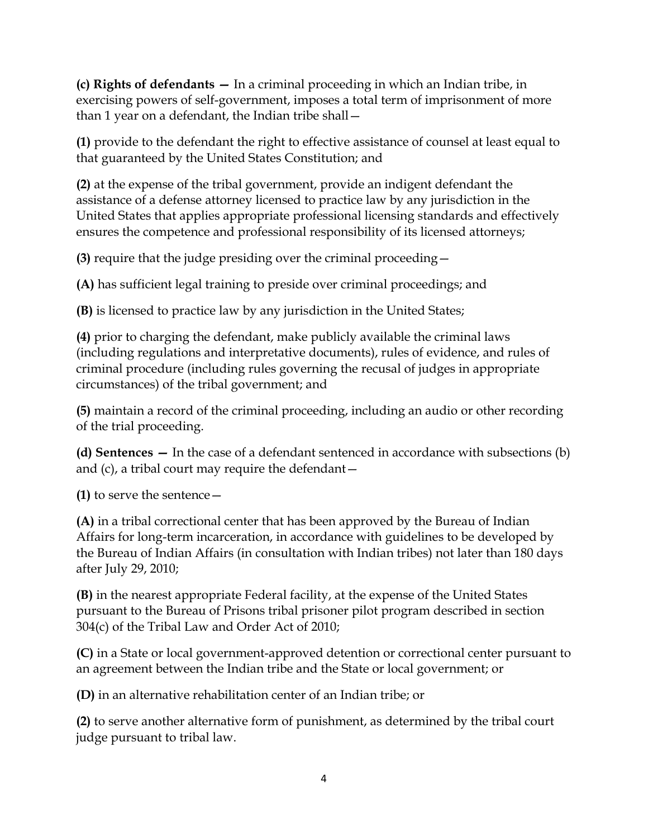**(c) Rights of defendants —** In a criminal proceeding in which an Indian tribe, in exercising powers of self-government, imposes a total term of imprisonment of more than 1 year on a defendant, the Indian tribe shall—

**[\(1\)](http://www.bloomberglaw.com/s/legislative/b597c087f2faf6aa4c5a8e3222fabcfa/document/www.bloomberglaw.com)** provide to the defendant the right to effective assistance of counsel at least equal to that guaranteed by the United States Constitution; and

**[\(2\)](http://www.bloomberglaw.com/s/legislative/b597c087f2faf6aa4c5a8e3222fabcfa/document/www.bloomberglaw.com)** at the expense of the tribal government, provide an indigent defendant the assistance of a defense attorney licensed to practice law by any jurisdiction in the United States that applies appropriate professional licensing standards and effectively ensures the competence and professional responsibility of its licensed attorneys;

**[\(3\)](http://www.bloomberglaw.com/s/legislative/b597c087f2faf6aa4c5a8e3222fabcfa/document/www.bloomberglaw.com)** require that the judge presiding over the criminal proceeding—

**[\(A\)](http://www.bloomberglaw.com/s/legislative/b597c087f2faf6aa4c5a8e3222fabcfa/document/www.bloomberglaw.com)** has sufficient legal training to preside over criminal proceedings; and

**[\(B\)](http://www.bloomberglaw.com/s/legislative/b597c087f2faf6aa4c5a8e3222fabcfa/document/www.bloomberglaw.com)** is licensed to practice law by any jurisdiction in the United States;

**[\(4\)](http://www.bloomberglaw.com/s/legislative/b597c087f2faf6aa4c5a8e3222fabcfa/document/www.bloomberglaw.com)** prior to charging the defendant, make publicly available the criminal laws (including regulations and interpretative documents), rules of evidence, and rules of criminal procedure (including rules governing the recusal of judges in appropriate circumstances) of the tribal government; and

**[\(5\)](http://www.bloomberglaw.com/s/legislative/b597c087f2faf6aa4c5a8e3222fabcfa/document/www.bloomberglaw.com)** maintain a record of the criminal proceeding, including an audio or other recording of the trial proceeding.

**(d) Sentences —** In the case of a defendant sentenced in accordance with subsections (b) and (c), a tribal court may require the defendant—

**[\(1\)](http://www.bloomberglaw.com/s/legislative/b597c087f2faf6aa4c5a8e3222fabcfa/document/www.bloomberglaw.com)** to serve the sentence—

**[\(A\)](http://www.bloomberglaw.com/s/legislative/b597c087f2faf6aa4c5a8e3222fabcfa/document/www.bloomberglaw.com)** in a tribal correctional center that has been approved by the Bureau of Indian Affairs for long-term incarceration, in accordance with guidelines to be developed by the Bureau of Indian Affairs (in consultation with Indian tribes) not later than 180 days after July 29, 2010;

**[\(B\)](http://www.bloomberglaw.com/s/legislative/b597c087f2faf6aa4c5a8e3222fabcfa/document/www.bloomberglaw.com)** in the nearest appropriate Federal facility, at the expense of the United States pursuant to the Bureau of Prisons tribal prisoner pilot program described in section 304(c) of the Tribal Law and Order Act of 2010;

**[\(C\)](http://www.bloomberglaw.com/s/legislative/b597c087f2faf6aa4c5a8e3222fabcfa/document/www.bloomberglaw.com)** in a State or local government-approved detention or correctional center pursuant to an agreement between the Indian tribe and the State or local government; or

**[\(D\)](http://www.bloomberglaw.com/s/legislative/b597c087f2faf6aa4c5a8e3222fabcfa/document/www.bloomberglaw.com)** in an alternative rehabilitation center of an Indian tribe; or

**[\(2\)](http://www.bloomberglaw.com/s/legislative/b597c087f2faf6aa4c5a8e3222fabcfa/document/www.bloomberglaw.com)** to serve another alternative form of punishment, as determined by the tribal court judge pursuant to tribal law.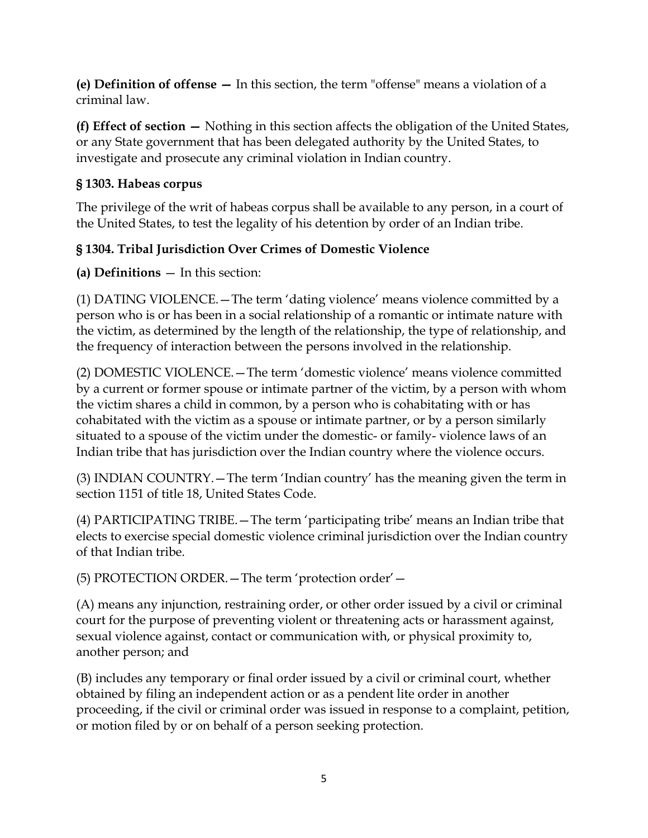**(e) Definition of offense —** In this section, the term "offense" means a violation of a criminal law.

**(f) Effect of section —** Nothing in this section affects the obligation of the United States, or any State government that has been delegated authority by the United States, to investigate and prosecute any criminal violation in Indian country.

#### **§ 1303. Habeas corpus**

The privilege of the writ of habeas corpus shall be available to any person, in a court of the United States, to test the legality of his detention by order of an Indian tribe.

## **§ 1304. Tribal Jurisdiction Over Crimes of Domestic Violence**

**(a) Definitions** — In this section:

(1) DATING VIOLENCE.—The term 'dating violence' means violence committed by a person who is or has been in a social relationship of a romantic or intimate nature with the victim, as determined by the length of the relationship, the type of relationship, and the frequency of interaction between the persons involved in the relationship.

(2) DOMESTIC VIOLENCE.—The term 'domestic violence' means violence committed by a current or former spouse or intimate partner of the victim, by a person with whom the victim shares a child in common, by a person who is cohabitating with or has cohabitated with the victim as a spouse or intimate partner, or by a person similarly situated to a spouse of the victim under the domestic- or family- violence laws of an Indian tribe that has jurisdiction over the Indian country where the violence occurs.

(3) INDIAN COUNTRY.—The term 'Indian country' has the meaning given the term in section 1151 of title 18, United States Code.

(4) PARTICIPATING TRIBE.—The term 'participating tribe' means an Indian tribe that elects to exercise special domestic violence criminal jurisdiction over the Indian country of that Indian tribe.

(5) PROTECTION ORDER.—The term 'protection order'—

(A) means any injunction, restraining order, or other order issued by a civil or criminal court for the purpose of preventing violent or threatening acts or harassment against, sexual violence against, contact or communication with, or physical proximity to, another person; and

(B) includes any temporary or final order issued by a civil or criminal court, whether obtained by filing an independent action or as a pendent lite order in another proceeding, if the civil or criminal order was issued in response to a complaint, petition, or motion filed by or on behalf of a person seeking protection.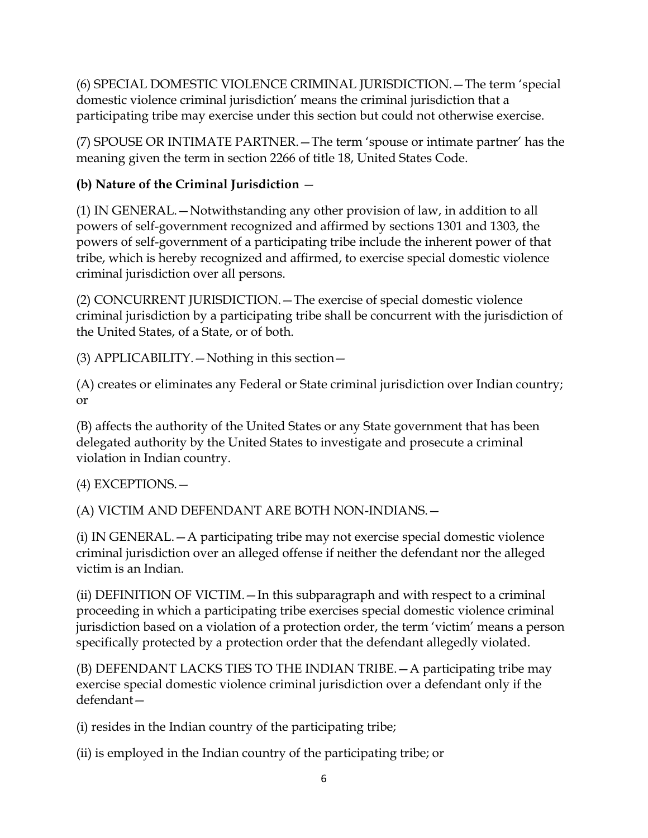(6) SPECIAL DOMESTIC VIOLENCE CRIMINAL JURISDICTION.—The term 'special domestic violence criminal jurisdiction' means the criminal jurisdiction that a participating tribe may exercise under this section but could not otherwise exercise.

(7) SPOUSE OR INTIMATE PARTNER.—The term 'spouse or intimate partner' has the meaning given the term in section 2266 of title 18, United States Code.

## **(b) Nature of the Criminal Jurisdiction** —

(1) IN GENERAL.—Notwithstanding any other provision of law, in addition to all powers of self-government recognized and affirmed by sections 1301 and 1303, the powers of self-government of a participating tribe include the inherent power of that tribe, which is hereby recognized and affirmed, to exercise special domestic violence criminal jurisdiction over all persons.

(2) CONCURRENT JURISDICTION.—The exercise of special domestic violence criminal jurisdiction by a participating tribe shall be concurrent with the jurisdiction of the United States, of a State, or of both.

(3) APPLICABILITY.—Nothing in this section—

(A) creates or eliminates any Federal or State criminal jurisdiction over Indian country; or

(B) affects the authority of the United States or any State government that has been delegated authority by the United States to investigate and prosecute a criminal violation in Indian country.

(4) EXCEPTIONS.—

(A) VICTIM AND DEFENDANT ARE BOTH NON-INDIANS.—

(i) IN GENERAL.—A participating tribe may not exercise special domestic violence criminal jurisdiction over an alleged offense if neither the defendant nor the alleged victim is an Indian.

(ii) DEFINITION OF VICTIM.—In this subparagraph and with respect to a criminal proceeding in which a participating tribe exercises special domestic violence criminal jurisdiction based on a violation of a protection order, the term 'victim' means a person specifically protected by a protection order that the defendant allegedly violated.

(B) DEFENDANT LACKS TIES TO THE INDIAN TRIBE.—A participating tribe may exercise special domestic violence criminal jurisdiction over a defendant only if the defendant—

(i) resides in the Indian country of the participating tribe;

(ii) is employed in the Indian country of the participating tribe; or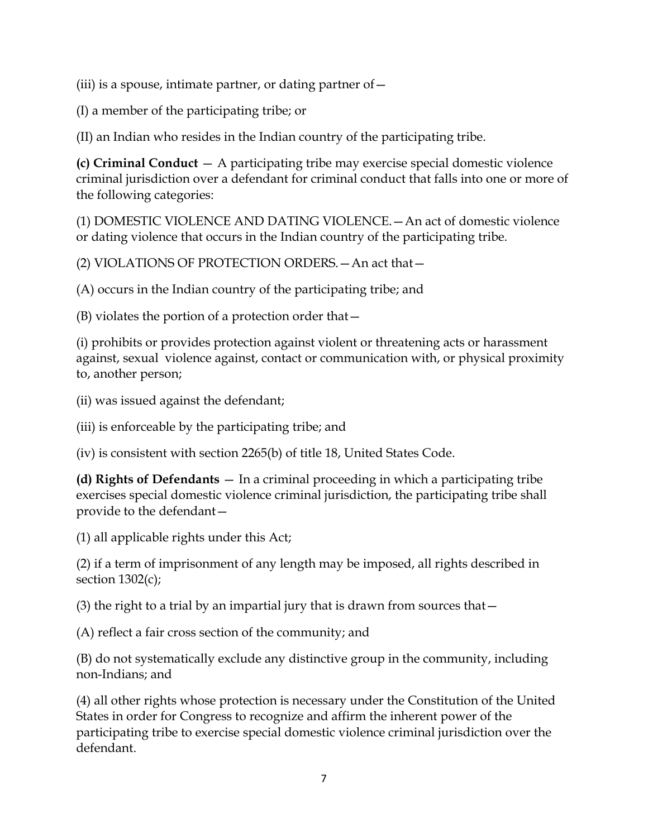(iii) is a spouse, intimate partner, or dating partner of  $-$ 

(I) a member of the participating tribe; or

(II) an Indian who resides in the Indian country of the participating tribe.

**(c) Criminal Conduct** — A participating tribe may exercise special domestic violence criminal jurisdiction over a defendant for criminal conduct that falls into one or more of the following categories:

(1) DOMESTIC VIOLENCE AND DATING VIOLENCE.—An act of domestic violence or dating violence that occurs in the Indian country of the participating tribe.

(2) VIOLATIONS OF PROTECTION ORDERS.—An act that—

(A) occurs in the Indian country of the participating tribe; and

(B) violates the portion of a protection order that—

(i) prohibits or provides protection against violent or threatening acts or harassment against, sexual violence against, contact or communication with, or physical proximity to, another person;

(ii) was issued against the defendant;

(iii) is enforceable by the participating tribe; and

(iv) is consistent with section 2265(b) of title 18, United States Code.

**(d) Rights of Defendants** — In a criminal proceeding in which a participating tribe exercises special domestic violence criminal jurisdiction, the participating tribe shall provide to the defendant—

(1) all applicable rights under this Act;

(2) if a term of imprisonment of any length may be imposed, all rights described in section  $1302(c)$ ;

(3) the right to a trial by an impartial jury that is drawn from sources that—

(A) reflect a fair cross section of the community; and

(B) do not systematically exclude any distinctive group in the community, including non-Indians; and

(4) all other rights whose protection is necessary under the Constitution of the United States in order for Congress to recognize and affirm the inherent power of the participating tribe to exercise special domestic violence criminal jurisdiction over the defendant.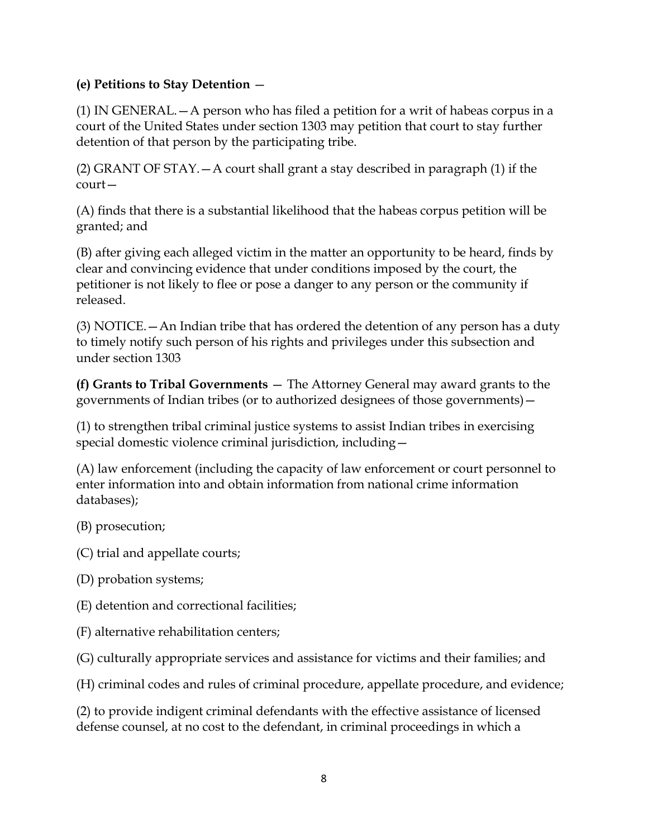#### **(e) Petitions to Stay Detention** —

(1) IN GENERAL.  $-A$  person who has filed a petition for a writ of habeas corpus in a court of the United States under section 1303 may petition that court to stay further detention of that person by the participating tribe.

(2) GRANT OF STAY.—A court shall grant a stay described in paragraph (1) if the court—

(A) finds that there is a substantial likelihood that the habeas corpus petition will be granted; and

(B) after giving each alleged victim in the matter an opportunity to be heard, finds by clear and convincing evidence that under conditions imposed by the court, the petitioner is not likely to flee or pose a danger to any person or the community if released.

(3) NOTICE.—An Indian tribe that has ordered the detention of any person has a duty to timely notify such person of his rights and privileges under this subsection and under section 1303

**(f) Grants to Tribal Governments** — The Attorney General may award grants to the governments of Indian tribes (or to authorized designees of those governments)—

(1) to strengthen tribal criminal justice systems to assist Indian tribes in exercising special domestic violence criminal jurisdiction, including—

(A) law enforcement (including the capacity of law enforcement or court personnel to enter information into and obtain information from national crime information databases);

(B) prosecution;

(C) trial and appellate courts;

(D) probation systems;

(E) detention and correctional facilities;

(F) alternative rehabilitation centers;

(G) culturally appropriate services and assistance for victims and their families; and

(H) criminal codes and rules of criminal procedure, appellate procedure, and evidence;

(2) to provide indigent criminal defendants with the effective assistance of licensed defense counsel, at no cost to the defendant, in criminal proceedings in which a